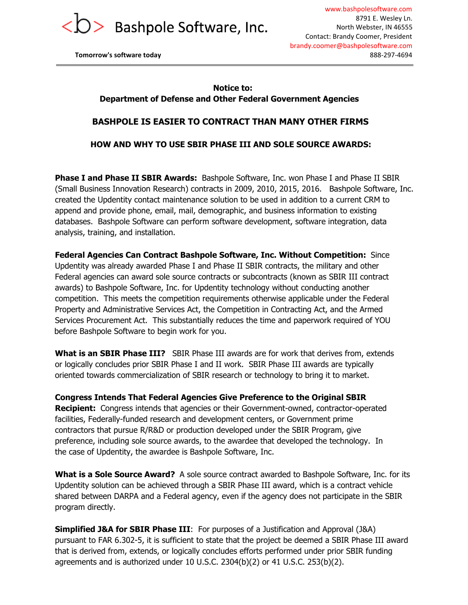

## **Notice to: Department of Defense and Other Federal Government Agencies**

## **BASHPOLE IS EASIER TO CONTRACT THAN MANY OTHER FIRMS**

## **HOW AND WHY TO USE SBIR PHASE III AND SOLE SOURCE AWARDS:**

**Phase I and Phase II SBIR Awards:** Bashpole Software, Inc. won Phase I and Phase II SBIR (Small Business Innovation Research) contracts in 2009, 2010, 2015, 2016. Bashpole Software, Inc. created the Updentity contact maintenance solution to be used in addition to a current CRM to append and provide phone, email, mail, demographic, and business information to existing databases. Bashpole Software can perform software development, software integration, data analysis, training, and installation.

**Federal Agencies Can Contract Bashpole Software, Inc. Without Competition:** Since Updentity was already awarded Phase I and Phase II SBIR contracts, the military and other Federal agencies can award sole source contracts or subcontracts (known as SBIR III contract awards) to Bashpole Software, Inc. for Updentity technology without conducting another competition. This meets the competition requirements otherwise applicable under the Federal Property and Administrative Services Act, the Competition in Contracting Act, and the Armed Services Procurement Act. This substantially reduces the time and paperwork required of YOU before Bashpole Software to begin work for you.

**What is an SBIR Phase III?** SBIR Phase III awards are for work that derives from, extends or logically concludes prior SBIR Phase I and II work. SBIR Phase III awards are typically oriented towards commercialization of SBIR research or technology to bring it to market.

**Congress Intends That Federal Agencies Give Preference to the Original SBIR Recipient:** Congress intends that agencies or their Government-owned, contractor-operated facilities, Federally-funded research and development centers, or Government prime contractors that pursue R/R&D or production developed under the SBIR Program, give preference, including sole source awards, to the awardee that developed the technology. In the case of Updentity, the awardee is Bashpole Software, Inc.

**What is a Sole Source Award?** A sole source contract awarded to Bashpole Software, Inc. for its Updentity solution can be achieved through a SBIR Phase III award, which is a contract vehicle shared between DARPA and a Federal agency, even if the agency does not participate in the SBIR program directly.

**Simplified J&A for SBIR Phase III**: For purposes of a Justification and Approval (J&A) pursuant to FAR 6.3025, it is sufficient to state that the project be deemed a SBIR Phase III award that is derived from, extends, or logically concludes efforts performed under prior SBIR funding agreements and is authorized under 10 U.S.C. 2304(b)(2) or 41 U.S.C. 253(b)(2).